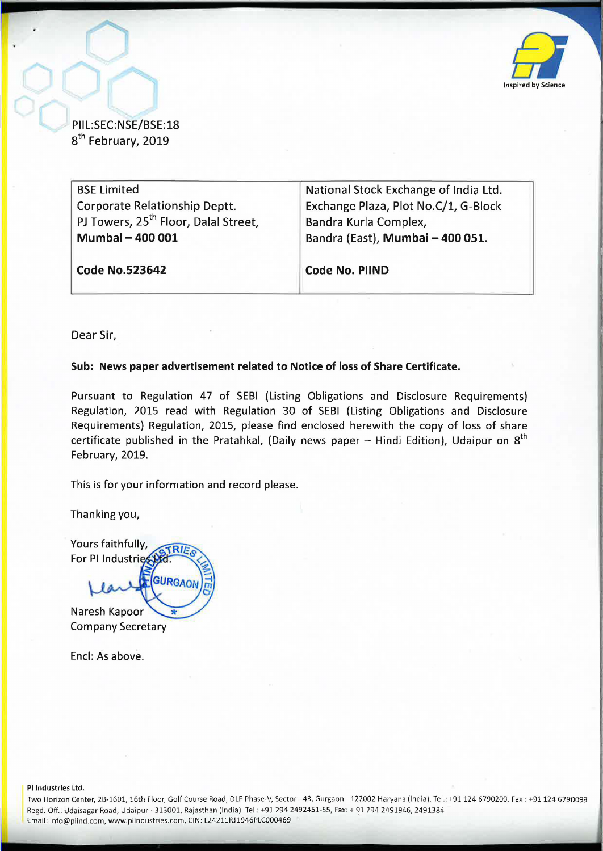

PIIL:SEC:NSE/BSE:18 8<sup>th</sup> February, 2019

| <b>BSE Limited</b>                               | National Stock Exchange of India Ltd. |  |  |  |
|--------------------------------------------------|---------------------------------------|--|--|--|
| Corporate Relationship Deptt.                    | Exchange Plaza, Plot No.C/1, G-Block  |  |  |  |
| PJ Towers, 25 <sup>th</sup> Floor, Dalal Street, | Bandra Kurla Complex,                 |  |  |  |
| Mumbai - 400 001                                 | Bandra (East), Mumbai - 400 051.      |  |  |  |
|                                                  |                                       |  |  |  |
| <b>Code No.523642</b>                            | <b>Code No. PIIND</b>                 |  |  |  |
|                                                  |                                       |  |  |  |

Dear Sir,

## **Sub: News paper advertisement related to Notice of loss of Share Certificate.**

Pursuant to Regulation 47 of SEBI (Listing Obligations and Disclosure Requirements) Regulation, 2015 read with Regulation 30 of SEBI (Listing Obligations and Disclosure Requirements) Regulation, 2015, please find enclosed herewith the copy of loss of share certificate published in the Pratahkal, (Daily news paper  $-$  Hindi Edition), Udaipur on  $8<sup>th</sup>$ February, 2019.

This is for your information and record please.

Thanking you,

Yours faithfully, **RIE** For PI Industries **GURGAO** 

Naresh Kapoor Company Secretary

Encl: As above.

PI Industries Ltd.

Two Horizon Center, 28-1601, 16th Floor, Golf Course Road, DLF Phase-V, Sector- 43, Gurgaon- 122002 Haryana (India), Tel .: +91124 6790200, Fax: +91124 6790099 Regd. Off.: Udaisagar Road, Udaipur - 313001, Rajasthan (India) Tel.: +91 294 2492451-55, Fax: + 91 294 2491946, 2491384 Email: info@piind.com, www.piindustries.com, CIN: L24211RJ1946PLC000469